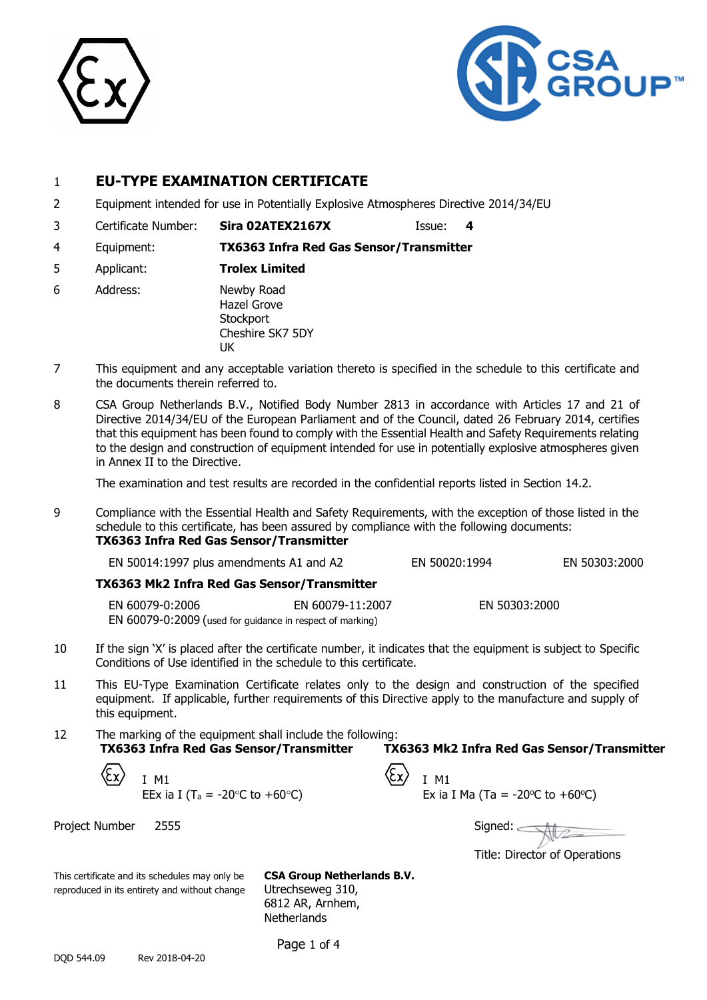



## 1 **EU-TYPE EXAMINATION CERTIFICATE**

- 2 Equipment intended for use in Potentially Explosive Atmospheres Directive 2014/34/EU
- 3 Certificate Number: **Sira 02ATEX2167X** Issue: **4**
- 4 Equipment: **TX6363 Infra Red Gas Sensor/Transmitter**
- 5 Applicant: **Trolex Limited**
- 6 Address: Newby Road Hazel Grove **Stockport** Cheshire SK7 5DY UK
- 7 This equipment and any acceptable variation thereto is specified in the schedule to this certificate and the documents therein referred to.
- 8 CSA Group Netherlands B.V., Notified Body Number 2813 in accordance with Articles 17 and 21 of Directive 2014/34/EU of the European Parliament and of the Council, dated 26 February 2014, certifies that this equipment has been found to comply with the Essential Health and Safety Requirements relating to the design and construction of equipment intended for use in potentially explosive atmospheres given in Annex II to the Directive.

The examination and test results are recorded in the confidential reports listed in Section 14.2.

9 Compliance with the Essential Health and Safety Requirements, with the exception of those listed in the schedule to this certificate, has been assured by compliance with the following documents: **TX6363 Infra Red Gas Sensor/Transmitter**

| EN 50014:1997 plus amendments A1 and A2                   |                  | EN 50020:1994 | EN 50303:2000 |
|-----------------------------------------------------------|------------------|---------------|---------------|
| TX6363 Mk2 Infra Red Gas Sensor/Transmitter               |                  |               |               |
| EN 60079-0:2006                                           | EN 60079-11:2007 | EN 50303:2000 |               |
| EN 60079-0:2009 (used for guidance in respect of marking) |                  |               |               |

- 10 If the sign 'X' is placed after the certificate number, it indicates that the equipment is subject to Specific Conditions of Use identified in the schedule to this certificate.
- 11 This EU-Type Examination Certificate relates only to the design and construction of the specified equipment. If applicable, further requirements of this Directive apply to the manufacture and supply of this equipment.
- 12 The marking of the equipment shall include the following: **TX6363 Infra Red Gas Sensor/Transmitter TX6363 Mk2 Infra Red Gas Sensor/Transmitter**

| $\langle \xi$ x $\rangle$ $_{I \ M1}$                            | $\langle \xi_{\rm X} \rangle$ I M1 |       |
|------------------------------------------------------------------|------------------------------------|-------|
| EEx ia I (T <sub>a</sub> = -20 $^{\circ}$ C to +60 $^{\circ}$ C) |                                    | Ex ia |

Project Number 2555 Signed: 2555 Signed: 2555 Signed: 2555 Signed: 2555 Signed: 2

| I M1                                                           | $\langle$ $\angle x$ $\rangle$ $\parallel$ M1 |                                                      |
|----------------------------------------------------------------|-----------------------------------------------|------------------------------------------------------|
| EEx ia I (T <sub>a</sub> = -20 $\degree$ C to +60 $\degree$ C) |                                               | Ex ia I Ma (Ta = -20 $\degree$ C to +60 $\degree$ C) |

Title: Director of Operations

This certificate and its schedules may only be **CSA Group Netherlands B.V.** reproduced in its entirety and without change Utrechseweg 310,

6812 AR, Arnhem, **Netherlands** 

Page 1 of 4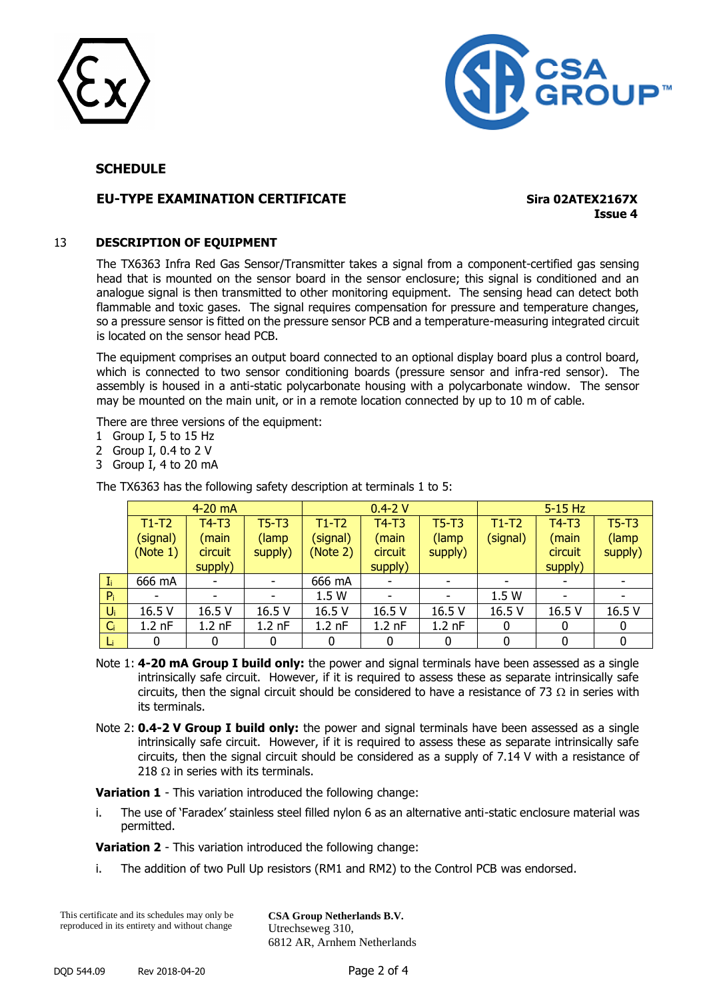



## **SCHEDULE**

## **EU-TYPE EXAMINATION CERTIFICATE Sira 02ATEX2167X**

**Issue 4**

#### 13 **DESCRIPTION OF EQUIPMENT**

The TX6363 Infra Red Gas Sensor/Transmitter takes a signal from a component-certified gas sensing head that is mounted on the sensor board in the sensor enclosure; this signal is conditioned and an analogue signal is then transmitted to other monitoring equipment. The sensing head can detect both flammable and toxic gases. The signal requires compensation for pressure and temperature changes, so a pressure sensor is fitted on the pressure sensor PCB and a temperature-measuring integrated circuit is located on the sensor head PCB.

The equipment comprises an output board connected to an optional display board plus a control board, which is connected to two sensor conditioning boards (pressure sensor and infra-red sensor). The assembly is housed in a anti-static polycarbonate housing with a polycarbonate window. The sensor may be mounted on the main unit, or in a remote location connected by up to 10 m of cable.

There are three versions of the equipment:

- 1 Group I, 5 to 15 Hz
- 2 Group I, 0.4 to 2 V
- 3 Group I, 4 to 20 mA

|       | 4-20 mA  |                    |          | $0.4 - 2V$ |          |          | $5-15$ Hz |              |              |
|-------|----------|--------------------|----------|------------|----------|----------|-----------|--------------|--------------|
|       | $T1-T2$  | $T4-T3$            | $T5-T3$  | $T1-T2$    | $T4-T3$  | $T5-T3$  | $T1-T2$   | $T4-T3$      | $T5-T3$      |
|       | (signal) | (main              | (lamp    | (signal)   | (main    | (lamp    | (signal)  | (main        | (lamp        |
|       | (Note 1) | circuit<br>supply) |          | (Note 2)   | circuit  | supply)  |           | circuit      | supply)      |
|       |          | supply)            |          |            | supply)  |          |           | supply)      |              |
| $I_i$ | 666 mA   |                    | ۰        | 666 mA     |          | ٠        |           |              | ٠            |
| $P_i$ |          |                    |          | 1.5W       |          |          | 1.5 W     |              |              |
| Ui    | 16.5 V   | 16.5 V             | 16.5 V   | 16.5 V     | 16.5 V   | 16.5 V   | 16.5 V    | 16.5 V       | 16.5 V       |
| $C_i$ | $1.2$ nF | $1.2$ nF           | $1.2$ nF | $1.2$ nF   | $1.2$ nF | $1.2$ nF | 0         | 0            | 0            |
|       |          | 0                  |          |            | 0        |          | ŋ         | <sup>0</sup> | <sup>0</sup> |

The TX6363 has the following safety description at terminals 1 to 5:

- Note 1: **4-20 mA Group I build only:** the power and signal terminals have been assessed as a single intrinsically safe circuit. However, if it is required to assess these as separate intrinsically safe circuits, then the signal circuit should be considered to have a resistance of 73  $\Omega$  in series with its terminals.
- Note 2: **0.4-2 V Group I build only:** the power and signal terminals have been assessed as a single intrinsically safe circuit. However, if it is required to assess these as separate intrinsically safe circuits, then the signal circuit should be considered as a supply of 7.14 V with a resistance of 218  $\Omega$  in series with its terminals.

**Variation 1** - This variation introduced the following change:

i. The use of 'Faradex' stainless steel filled nylon 6 as an alternative anti-static enclosure material was permitted.

**Variation 2** - This variation introduced the following change:

i. The addition of two Pull Up resistors (RM1 and RM2) to the Control PCB was endorsed.

This certificate and its schedules may only be reproduced in its entirety and without change

**CSA Group Netherlands B.V.** Utrechseweg 310, 6812 AR, Arnhem Netherlands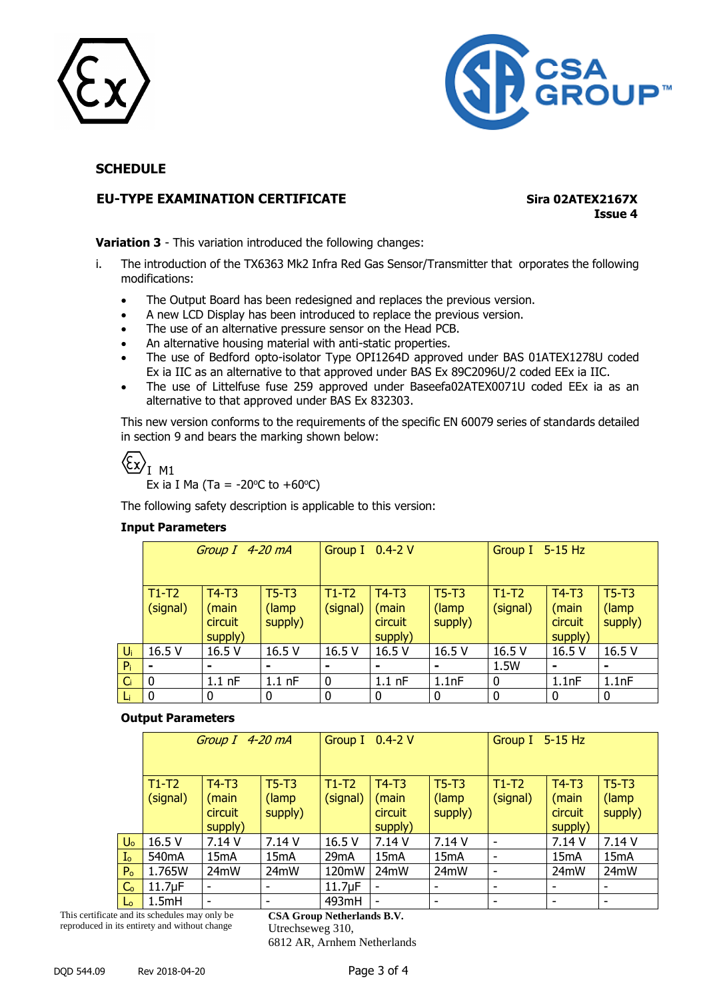



## **SCHEDULE**

## **EU-TYPE EXAMINATION CERTIFICATE Sira 02ATEX2167X**

**Issue 4**

**Variation 3** - This variation introduced the following changes:

- i. The introduction of the TX6363 Mk2 Infra Red Gas Sensor/Transmitter that orporates the following modifications:
	- The Output Board has been redesigned and replaces the previous version.
	- A new LCD Display has been introduced to replace the previous version.
	- The use of an alternative pressure sensor on the Head PCB.
	- An alternative housing material with anti-static properties.
	- The use of Bedford opto-isolator Type OPI1264D approved under BAS 01ATEX1278U coded Ex ia IIC as an alternative to that approved under BAS Ex 89C2096U/2 coded EEx ia IIC.
	- The use of Littelfuse fuse 259 approved under Baseefa02ATEX0071U coded EEx ia as an alternative to that approved under BAS Ex 832303.

This new version conforms to the requirements of the specific EN 60079 series of standards detailed in section 9 and bears the marking shown below:

 $\left\langle \xi_{X}\right\rangle _{I~M1}$ 

Ex ia I Ma (Ta =  $-20^{\circ}$ C to  $+60^{\circ}$ C)

The following safety description is applicable to this version:

#### **Input Parameters**

|       | Group I 4-20 mA     |                                        |                              | Group I 0.4-2 V     |                                        |                              | Group I 5-15 Hz     |                                        |                             |
|-------|---------------------|----------------------------------------|------------------------------|---------------------|----------------------------------------|------------------------------|---------------------|----------------------------------------|-----------------------------|
|       | $T1-T2$<br>(signal) | $T4-T3$<br>(main<br>circuit<br>supply) | $T5-T3$<br>(lamp)<br>supply) | $T1-T2$<br>(signal) | $T4-T3$<br>(main<br>circuit<br>supply) | $T5-T3$<br>(lamp)<br>supply) | $T1-T2$<br>(signal) | $T4-T3$<br>(main<br>circuit<br>supply) | $T5-T3$<br>(lamp<br>supply) |
| $U_i$ | 16.5 V              | 16.5 V                                 | 16.5 V                       | 16.5 V              | 16.5 V                                 | 16.5 V                       | 16.5 V              | 16.5 V                                 | 16.5 V                      |
| $P_i$ | $\blacksquare$      | ۰                                      | $\blacksquare$               | $\blacksquare$      |                                        | $\blacksquare$               | 1.5W                | $\blacksquare$                         | $\blacksquare$              |
| $C_i$ | $\mathbf 0$         | $1.1$ nF                               | $1.1$ nF                     | $\mathbf 0$         | $1.1$ nF                               | 1.1nF                        | 0                   | 1.1nF                                  | 1.1nF                       |
| Li    | $\mathbf 0$         | 0                                      | 0                            | 0                   |                                        | 0                            | 0                   | 0                                      | 0                           |

#### **Output Parameters**

|                       | Group I 4-20 mA     |                                        |                             | Group I 0.4-2 V     |                                        |                              | Group I 5-15 Hz     |                                        |                             |
|-----------------------|---------------------|----------------------------------------|-----------------------------|---------------------|----------------------------------------|------------------------------|---------------------|----------------------------------------|-----------------------------|
|                       | $T1-T2$<br>(signal) | $T4-T3$<br>(main<br>circuit<br>supply) | $T5-T3$<br>(lamp<br>supply) | $T1-T2$<br>(signal) | $T4-T3$<br>(main<br>circuit<br>supply) | $T5-T3$<br>(lamp)<br>supply) | $T1-T2$<br>(signal) | $T4-T3$<br>(main<br>circuit<br>supply) | $T5-T3$<br>(lamp<br>supply) |
| $U_{o}$               | 16.5 V              | 7.14 V                                 | 7.14 V                      | 16.5 V              | 7.14 V                                 | 7.14 V                       |                     | 7.14 V                                 | 7.14 V                      |
| $\mathbf{I}_\text{o}$ | 540 <sub>m</sub> A  | 15 <sub>m</sub> A                      | 15 <sub>m</sub> A           | 29mA                | 15mA                                   | 15 <sub>m</sub> A            |                     | 15 <sub>m</sub> A                      | 15 <sub>m</sub> A           |
| P <sub>o</sub>        | 1.765W              | 24mW                                   | 24mW                        | 120mW               | 24mW                                   | 24mW                         | -                   | 24mW                                   | 24mW                        |
| C <sub>o</sub>        | $11.7\mu F$         |                                        | ۰                           | $11.7\mu F$         | ٠                                      |                              | ۰                   |                                        | -                           |
| $L_0$                 | 1.5mH               |                                        | ۰                           | 493mH               | ٠                                      |                              |                     |                                        |                             |

This certificate and its schedules may only be reproduced in its entirety and without change

**CSA Group Netherlands B.V.** Utrechseweg 310,

6812 AR, Arnhem Netherlands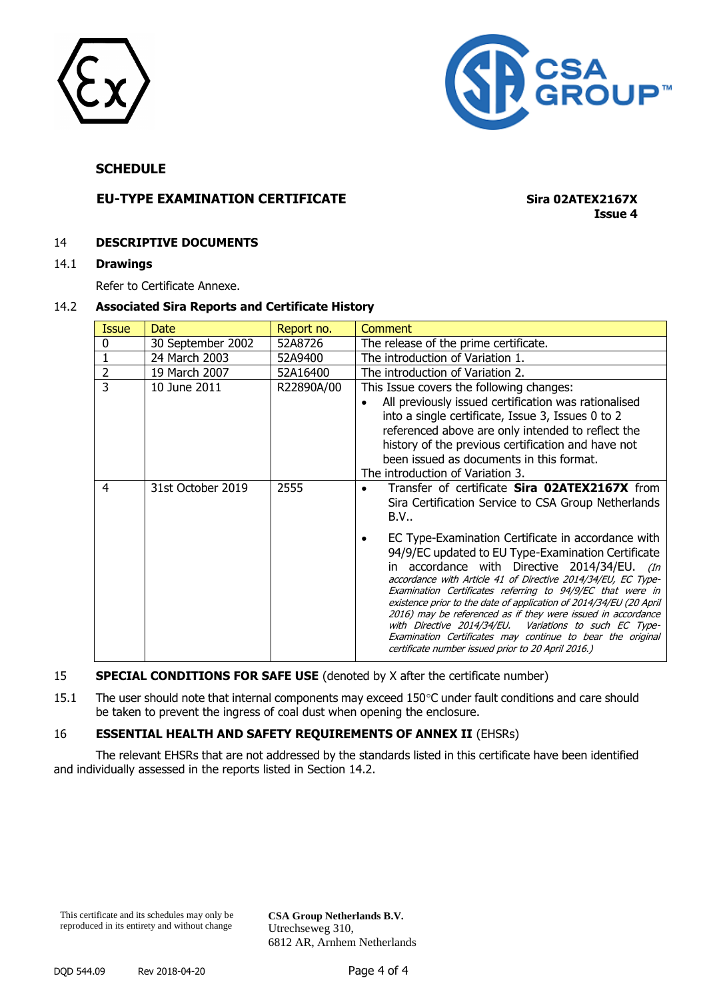



## **SCHEDULE**

## **EU-TYPE EXAMINATION CERTIFICATE Sira 02ATEX2167X**

**Issue 4**

#### 14 **DESCRIPTIVE DOCUMENTS**

#### 14.1 **Drawings**

Refer to Certificate Annexe.

#### 14.2 **Associated Sira Reports and Certificate History**

| <b>Issue</b>   | <b>Date</b>       | Report no. | Comment                                                                                                                                                                                                                                                                                                                                                                                                                                                                                                                                                                                                                                                                                                                   |
|----------------|-------------------|------------|---------------------------------------------------------------------------------------------------------------------------------------------------------------------------------------------------------------------------------------------------------------------------------------------------------------------------------------------------------------------------------------------------------------------------------------------------------------------------------------------------------------------------------------------------------------------------------------------------------------------------------------------------------------------------------------------------------------------------|
| 0              | 30 September 2002 | 52A8726    | The release of the prime certificate.                                                                                                                                                                                                                                                                                                                                                                                                                                                                                                                                                                                                                                                                                     |
|                | 24 March 2003     | 52A9400    | The introduction of Variation 1.                                                                                                                                                                                                                                                                                                                                                                                                                                                                                                                                                                                                                                                                                          |
| $\overline{2}$ | 19 March 2007     | 52A16400   | The introduction of Variation 2.                                                                                                                                                                                                                                                                                                                                                                                                                                                                                                                                                                                                                                                                                          |
| 3              | 10 June 2011      | R22890A/00 | This Issue covers the following changes:<br>All previously issued certification was rationalised<br>into a single certificate, Issue 3, Issues 0 to 2<br>referenced above are only intended to reflect the<br>history of the previous certification and have not<br>been issued as documents in this format.<br>The introduction of Variation 3.                                                                                                                                                                                                                                                                                                                                                                          |
| 4              | 31st October 2019 | 2555       | Transfer of certificate Sira 02ATEX2167X from<br>Sira Certification Service to CSA Group Netherlands<br>B.V<br>EC Type-Examination Certificate in accordance with<br>94/9/EC updated to EU Type-Examination Certificate<br>in accordance with Directive 2014/34/EU. (In<br>accordance with Article 41 of Directive 2014/34/EU, EC Type-<br>Examination Certificates referring to 94/9/EC that were in<br>existence prior to the date of application of 2014/34/EU (20 April<br>2016) may be referenced as if they were issued in accordance<br>with Directive 2014/34/EU. Variations to such EC Type-<br>Examination Certificates may continue to bear the original<br>certificate number issued prior to 20 April 2016.) |

#### 15 **SPECIAL CONDITIONS FOR SAFE USE** (denoted by X after the certificate number)

15.1 The user should note that internal components may exceed 150°C under fault conditions and care should be taken to prevent the ingress of coal dust when opening the enclosure.

#### 16 **ESSENTIAL HEALTH AND SAFETY REQUIREMENTS OF ANNEX II** (EHSRs)

The relevant EHSRs that are not addressed by the standards listed in this certificate have been identified and individually assessed in the reports listed in Section 14.2.

**CSA Group Netherlands B.V.** Utrechseweg 310, 6812 AR, Arnhem Netherlands